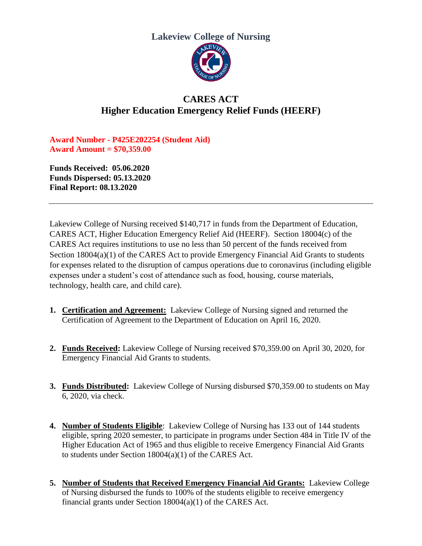## **Lakeview College of Nursing**



## **CARES ACT Higher Education Emergency Relief Funds (HEERF)**

**Award Number - P425E202254 (Student Aid) Award Amount = \$70,359.00**

**Funds Received: 05.06.2020 Funds Dispersed: 05.13.2020 Final Report: 08.13.2020**

Lakeview College of Nursing received \$140,717 in funds from the Department of Education, CARES ACT, Higher Education Emergency Relief Aid (HEERF). Section 18004(c) of the CARES Act requires institutions to use no less than 50 percent of the funds received from Section 18004(a)(1) of the CARES Act to provide Emergency Financial Aid Grants to students for expenses related to the disruption of campus operations due to coronavirus (including eligible expenses under a student's cost of attendance such as food, housing, course materials, technology, health care, and child care).

- **1. Certification and Agreement:** Lakeview College of Nursing signed and returned the Certification of Agreement to the Department of Education on April 16, 2020.
- **2. Funds Received:** Lakeview College of Nursing received \$70,359.00 on April 30, 2020, for Emergency Financial Aid Grants to students.
- **3. Funds Distributed:** Lakeview College of Nursing disbursed \$70,359.00 to students on May 6, 2020, via check.
- **4. Number of Students Eligible**: Lakeview College of Nursing has 133 out of 144 students eligible, spring 2020 semester, to participate in programs under Section 484 in Title IV of the Higher Education Act of 1965 and thus eligible to receive Emergency Financial Aid Grants to students under Section 18004(a)(1) of the CARES Act.
- **5. Number of Students that Received Emergency Financial Aid Grants:** Lakeview College of Nursing disbursed the funds to 100% of the students eligible to receive emergency financial grants under Section 18004(a)(1) of the CARES Act.